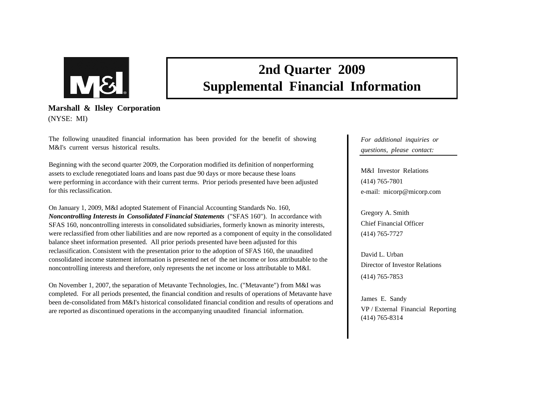

# **2nd Quarter 2009 Supplemental Financial Information**

**Marshall & Ilsley Corporation** (NYSE: MI)

The following unaudited financial information has been provided for the benefit of showing M&I's current versus historical results.

Beginning with the second quarter 2009, the Corporation modified its definition of nonperforming assets to exclude renegotiated loans and loans past due 90 days or more because these loans were performing in accordance with their current terms. Prior periods presented have been adjusted for this reclassification.

On January 1, 2009, M&I adopted Statement of Financial Accounting Standards No. 160, *Noncontrolling Interests in Consolidated Financial Statements* ("SFAS 160"). In accordance with SFAS 160, noncontrolling interests in consolidated subsidiaries, formerly known as minority interests, were reclassified from other liabilities and are now reported as a component of equity in the consolidated balance sheet information presented. All prior periods presented have been adjusted for this reclassification. Consistent with the presentation prior to the adoption of SFAS 160, the unaudited consolidated income statement information is presented net of the net income or loss attributable to the noncontrolling interests and therefore, only represents the net income or loss attributable to M&I.

On November 1, 2007, the separation of Metavante Technologies, Inc. ("Metavante") from M&I was completed. For all periods presented, the financial condition and results of operations of Metavante have been de-consolidated from M&I's historical consolidated financial condition and results of operations and are reported as discontinued operations in the accompanying unaudited financial information.

*For additional inquiries or questions, please contact:*

M&I Investor Relations(414) 765-7801 e-mail: micorp@micorp.com

Gregory A. Smith Chief Financial Officer(414) 765-7727

David L. UrbanDirector of Investor Relations(414) 765-7853

James E. Sandy VP / External Financial Reporting (414) 765-8314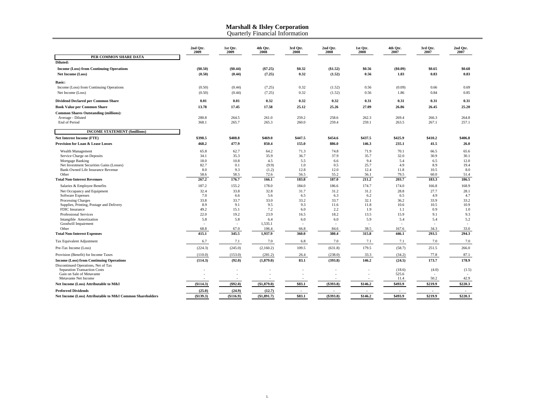Quarterly Financial Information

|                                                              | 2nd Qtr.<br>2009 | 1st Qtr.<br>2009                | 4th Qtr.<br>2008 | 3rd Qtr.<br>2008         | 2nd Qtr.<br>2008 | 1st Qtr.<br>2008 | 4th Qtr.<br>2007         | 3rd Qtr.<br>2007 | 2nd Otr.<br>2007 |
|--------------------------------------------------------------|------------------|---------------------------------|------------------|--------------------------|------------------|------------------|--------------------------|------------------|------------------|
| PER COMMON SHARE DATA                                        |                  |                                 |                  |                          |                  |                  |                          |                  |                  |
| Diluted:                                                     |                  |                                 |                  |                          |                  |                  |                          |                  |                  |
| <b>Income (Loss) from Continuing Operations</b>              | (\$0.50)         | (\$0.44)                        | (S7.25)          | \$0.32                   | (\$1.52)         | \$0.56           | (\$0.09)                 | \$0.65           | \$0.68           |
| Net Income (Loss)                                            | (0.50)           | (0.44)                          | (7.25)           | 0.32                     | (1.52)           | 0.56             | 1.83                     | 0.83             | 0.83             |
| <b>Basic:</b>                                                |                  |                                 |                  |                          |                  |                  |                          |                  |                  |
| Income (Loss) from Continuing Operations                     | (0.50)           | (0.44)                          | (7.25)           | 0.32                     | (1.52)           | 0.56             | (0.09)                   | 0.66             | 0.69             |
| Net Income (Loss)                                            | (0.50)           | (0.44)                          | (7.25)           | 0.32                     | (1.52)           | 0.56             | 1.86                     | 0.84             | 0.85             |
| <b>Dividend Declared per Common Share</b>                    | 0.01             | 0.01                            | 0.32             | 0.32                     | 0.32             | 0.31             | 0.31                     | 0.31             | 0.31             |
| <b>Book Value per Common Share</b>                           | 13.78            | 17.45                           | 17.58            | 25.12                    | 25.26            | 27.09            | 26.86                    | 26.45            | 25.20            |
| <b>Common Shares Outstanding (millions):</b>                 |                  |                                 |                  |                          |                  |                  |                          |                  |                  |
| Average - Diluted                                            | 280.8            | 264.5                           | 261.0            | 259.2                    | 258.6            | 262.3            | 269.4                    | 266.3            | 264.8            |
| End of Period                                                | 368.1            | 265.7                           | 265.3            | 260.0                    | 259.4            | 259.1            | 263.5                    | 267.1            | 257.1            |
| <b>INCOME STATEMENT (\$millions)</b>                         |                  |                                 |                  |                          |                  |                  |                          |                  |                  |
| Net Interest Income (FTE)                                    | \$398.5          | \$408.8                         | \$469.0          | \$447.5                  | \$454.6          | \$437.5          | \$425.9                  | \$410.2          | \$406.8          |
| <b>Provision for Loan &amp; Lease Losses</b>                 | 468.2            | 477.9                           | 850.4            | 155.0                    | 886.0            | 146.3            | 235.1                    | 41.5             | 26.0             |
|                                                              |                  |                                 |                  |                          |                  |                  |                          |                  |                  |
| Wealth Management                                            | 65.8             | 62.7                            | 64.2             | 71.3                     | 74.8             | 71.9             | 70.1                     | 66.5             | 65.6             |
| Service Charge on Deposits                                   | 34.1             | 35.3                            | 35.9             | 36.7                     | 37.9             | 35.7             | 32.0                     | 30.9             | 30.1             |
| Mortgage Banking<br>Net Investment Securities Gains (Losses) | 18.0<br>82.7     | 10.8<br>0.1                     | 4.5<br>(9.9)     | 5.5<br>1.0               | 6.6<br>0.5       | 9.4<br>25.7      | 5.4<br>4.9               | 6.5<br>8.9       | 12.0<br>19.4     |
| Bank-Owned Life Insurance Revenue                            | 8.0              | 9.3                             | (1.2)            | 12.8                     | 12.0             | 12.4             | 11.8                     | 10.5             | 8.0              |
| Other                                                        | 58.6             | 58.5                            | 72.6             | 56.5                     | 55.2             | 56.1             | 79.5                     | 60.0             | 51.4             |
| <b>Total Non-Interest Revenues</b>                           | 267.2            | 176.7                           | 166.1            | 183.8                    | 187.0            | 211.2            | 203.7                    | 183.3            | 186.5            |
| Salaries & Employee Benefits                                 | 187.2            | 155.2                           | 178.0            | 184.0                    | 186.6            | 174.7            | 174.0                    | 166.8            | 168.9            |
| Net Occupancy and Equipment                                  | 32.4             | 33.8                            | 32.8             | 31.7                     | 31.2             | 31.2             | 28.8                     | 27.7             | 28.1             |
| Software Expenses                                            | 7.0              | 6.6                             | 5.6              | 6.5                      | 6.3              | 6.2              | 6.5                      | 4.9              | 4.7              |
| <b>Processing Charges</b>                                    | 33.8             | 33.7                            | 33.0             | 33.2                     | 33.7             | 32.1             | 36.2                     | 33.9             | 33.2             |
| Supplies, Printing, Postage and Delivery                     | 8.9              | 9.1                             | 9.5              | 9.3                      | 11.6             | 11.8             | 10.6                     | 10.5             | 10.9             |
| FDIC Insurance                                               | 49.2             | 15.1                            | 7.2              | 6.0                      | 2.2              | 1.9              | 1.1                      | 0.9              | 1.0              |
| Professional Services                                        | 22.0             | 19.2                            | 23.9             | 16.5                     | 18.2             | 13.5             | 15.9                     | 9.1              | 9.3              |
| Intangible Amortization                                      | 5.8              | 5.8<br>$\overline{\phantom{a}}$ | 6.4              | 6.0                      | 6.0              | 5.9              | 5.4                      | 5.4<br>÷         | 5.2              |
| Goodwill Impairment<br>Other                                 | 68.8             | 67.0                            | 1,535.1<br>106.4 | 66.8                     | 84.6             | 38.5             | 167.6                    | 34.3             | 33.0             |
| <b>Total Non-Interest Expenses</b>                           | 415.1            | 345.5                           | 1,937.9          | 360.0                    | 380.4            | 315.8            | 446.1                    | 293.5            | 294.3            |
| Tax Equivalent Adjustment                                    | 6.7              | 7.1                             | 7.0              | 6.8                      | 7.0              | 7.1              | 7.1                      | 7.0              | 7.0              |
| Pre-Tax Income (Loss)                                        | (224.3)          | (245.0)                         | (2,160.2)        | 109.5                    | (631.8)          | 179.5            | (58.7)                   | 251.5            | 266.0            |
| Provision (Benefit) for Income Taxes                         | (110.0)          | (153.0)                         | (281.2)          | 26.4                     | (238.0)          | 33.3             | (34.2)                   | 77.8             | 87.1             |
| <b>Income (Loss) from Continuing Operations</b>              | (114.3)          | (92.0)                          | (1,879.0)        | 83.1                     | (393.8)          | 146.2            | (24.5)                   | 173.7            | 178.9            |
| Discontinued Operations, Net of Tax                          |                  |                                 |                  |                          |                  |                  |                          |                  |                  |
| Separation Transaction Costs                                 |                  |                                 |                  |                          |                  |                  | (18.6)                   | (4.0)            | (1.5)            |
| Gain on Sale of Metavante                                    |                  |                                 |                  |                          |                  |                  | 525.6                    |                  |                  |
| Metavante Net Income                                         |                  |                                 |                  |                          |                  |                  | 11.4                     | 50.2             | 42.9             |
| Net Income (Loss) Attributable to M&I                        | ( \$114.3)       | (\$92.0)                        | (\$1,879.0)      | \$83.1                   | (\$393.8)        | \$146.2          | \$493.9                  | \$219.9          | \$220.3          |
| <b>Preferred Dividends</b>                                   | (25.0)           | (24.9)                          | (12.7)           | $\overline{\phantom{a}}$ |                  |                  | $\overline{\phantom{a}}$ |                  | $\sim$           |
| Net Income (Loss) Attributable to M&I Common Shareholders    | (\$139.3)        | (\$116.9)                       | (\$1,891.7)      | \$83.1                   | (\$393.8)        | \$146.2          | \$493.9                  | \$219.9          | \$220.3          |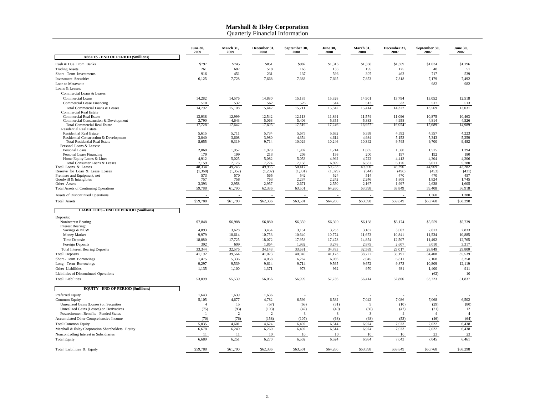Quarterly Financial Information

|                                                                  | <b>June 30,</b><br>2009 | March 31,<br>2009 | December 31,<br>2008 | September 30,<br>2008 | <b>June 30,</b><br>2008 | March 31,<br>2008 | December 31,<br>2007 | September 30,<br>2007 | <b>June 30,</b><br>2007 |
|------------------------------------------------------------------|-------------------------|-------------------|----------------------|-----------------------|-------------------------|-------------------|----------------------|-----------------------|-------------------------|
| <b>ASSETS - END OF PERIOD (\$millions)</b>                       |                         |                   |                      |                       |                         |                   |                      |                       |                         |
| Cash & Due From Banks                                            | \$797                   | \$745             | \$851                | \$982                 | \$1,316                 | \$1,360           | \$1,369              | \$1,034               | \$1,196                 |
| <b>Trading Assets</b>                                            | 261                     | 687               | 518                  | 163                   | 133                     | 195               | 125                  | 48                    | 51                      |
| Short - Term Investments                                         | 916                     | 451               | 231                  | 137                   | 596                     | 307               | 462                  | 717                   | 539                     |
| <b>Investment Securities</b>                                     | 6,125                   | 7,728             | 7,668                | 7,383                 | 7,695                   | 7,853             | 7,818                | 7,179                 | 7,492                   |
| Loan to Metavante                                                |                         |                   |                      |                       |                         |                   |                      | 982                   | 982                     |
| Loans & Leases:                                                  |                         |                   |                      |                       |                         |                   |                      |                       |                         |
| Commercial Loans & Leases                                        |                         |                   |                      |                       |                         |                   |                      |                       |                         |
| Commercial Loans                                                 | 14,282                  | 14,576            | 14,880               | 15,185                | 15,328                  | 14,901            | 13,794               | 13,052                | 12,518                  |
| Commercial Lease Financing                                       | 510                     | 532               | 562                  | 526                   | 514                     | 513               | 533                  | 517                   | 513                     |
| Total Commercial Loans & Leases<br><b>Commercial Real Estate</b> | 14,792                  | 15,108            | 15,442               | 15,711                | 15,842                  | 15,414            | 14,327               | 13,569                | 13,031                  |
| <b>Commercial Real Estate</b>                                    | 13,938                  | 12,999            | 12,542               | 12,113                | 11,891                  | 11,574            | 11,096               | 10,875                | 10,463                  |
| Commercial Construction & Development                            | 3,790                   | 4,643             | 5,063                | 5,406                 | 5,355                   | 5,383             | 4,958                | 4,814                 | 4,526                   |
| <b>Total Commercial Real Estate</b>                              | 17,728                  | 17,642            | 17,605               | 17,519                | 17,246                  | 16,957            | 16,054               | 15,689                | 14,989                  |
| <b>Residential Real Estate</b><br><b>Residential Real Estate</b> | 5,615                   | 5,711             | 5,734                | 5,675                 | 5,632                   | 5,358             | 4,592                | 4,357                 | 4,223                   |
| Residential Construction & Development                           | 3.040                   | 3,608             | 3,980                | 4,354                 | 4,614                   | 4,984             | 5,153                | 5,343                 | 5,259                   |
| <b>Total Residential Real Estate</b>                             | 8,655                   | 9,319             | 9,714                | 10,029                | 10,246                  | 10,342            | 9,745                | 9,700                 | 9,482                   |
| Personal Loans & Leases:                                         |                         |                   |                      |                       |                         |                   |                      |                       |                         |
| Personal Loans                                                   | 2,068                   | 1,952             | 1,929                | 1,902                 | 1,714                   | 1,665             | 1,560                | 1,515                 | 1,394                   |
| Personal Lease Financing<br>Home Equity Loans & Lines            | 179<br>4.912            | 199<br>5.025      | 213<br>5.082         | 203<br>5.053          | 193<br>4.992            | 200<br>4.722      | 197<br>4.413         | 192<br>4.304          | 180<br>4.206            |
| Total Consumer Loans & Leases                                    | 7,159                   | 7,176             | 7,224                | 7,158                 | 6.899                   | 6,587             | 6,170                | 6,011                 | 5,780                   |
| Total Loans & Leases                                             | 48,334                  | 49,245            | 49,985               | 50,417                | 50,233                  | 49,300            | 46,296               | 44,969                | 43,282                  |
| Reserve for Loan & Lease Losses                                  | (1, 368)                | (1,352)           | (1,202)              | (1,031)               | (1,029)                 | (544)             | (496)                | (453)                 | (431)                   |
| Premises and Equipment, net                                      | 573                     | 570<br>758        | 565                  | 542                   | 524                     | 514               | 470                  | 470                   | 457                     |
| Goodwill & Intangibles<br>Other Assets                           | 757<br>3,393            | 2,958             | 763<br>2,957         | 2,237<br>2,671        | 2,242<br>2,550          | 2,246<br>2,167    | 1,808<br>1,997       | 1,824<br>2,638        | 1,745<br>1,605          |
| <b>Total Assets of Continuing Operations</b>                     | 59,788                  | 61,790            | 62,336               | 63,501                | 64,260                  | 63,398            | 59,849               | 59,408                | 56,918                  |
| Assets of Discontinued Operations                                |                         |                   |                      |                       |                         |                   |                      | 1,360                 | 1,380                   |
| <b>Total Assets</b>                                              | \$59,788                | \$61,790          | \$62,336             | \$63,501              | \$64,260                | \$63,398          | \$59,849             | \$60,768              | \$58,298                |
|                                                                  |                         |                   |                      |                       |                         |                   |                      |                       |                         |
| <b>LIABILITIES - END OF PERIOD (\$millions)</b>                  |                         |                   |                      |                       |                         |                   |                      |                       |                         |
| Deposits:                                                        |                         |                   |                      |                       |                         |                   |                      |                       |                         |
| Noninterest Bearing<br><b>Interest Bearing:</b>                  | \$7,848                 | \$6,988           | \$6,880              | \$6,359               | \$6,390                 | \$6,138           | \$6,174              | \$5,559               | \$5,739                 |
| Savings & NOW                                                    | 4,893                   | 3,628             | 3,454                | 3,151                 | 3,253                   | 3,187             | 3,062                | 2,813                 | 2,833                   |
| Money Market                                                     | 9,979                   | 10,614            | 10,753               | 10,640                | 10,774                  | 11,673            | 10,841               | 11,534                | 10,885                  |
| <b>Time Deposits</b>                                             | 18,080                  | 17,725            | 18,072               | 17,958                | 17,478                  | 14,854            | 12,507               | 11,492                | 12,765                  |
| Foreign Deposits                                                 | 392                     | 609               | 1,864                | 1,932                 | 3,278                   | 2,875             | 2,607                | 3,010                 | 3,317                   |
| <b>Total Interest Bearing Deposits</b>                           | 33,344                  | 32,576            | 34,143               | 33,681                | 34,783                  | 32,589            | 29,017               | 28,849                | 29,800                  |
| <b>Total Deposits</b>                                            | 41,192                  | 39,564            | 41,023               | 40,040                | 41,173                  | 38,727            | 35,191               | 34,408                | 35,539                  |
| Short - Term Borrowings                                          | 1,475                   | 5,336             | 4,058                | 6,267                 | 6,036                   | 7,045             | 6,811                | 7,168                 | 3,258                   |
| Long - Term Borrowings                                           | 9,297                   | 9,539             | 9,614                | 9,714                 | 9,565                   | 9,672             | 9,873                | 10,809                | 12,119                  |
| Other Liabilities                                                | 1,135                   | 1,100             | 1,371                | 978                   | 962                     | 970               | 931                  | 1,400                 | 911                     |
| Liabilities of Discontinued Operations                           |                         |                   |                      |                       |                         |                   |                      | (62)                  | 10                      |
| <b>Total Liabilities</b>                                         | 53,099                  | 55,539            | 56,066               | 56,999                | 57,736                  | 56,414            | 52,806               | 53,723                | 51,837                  |
| <b>EQUITY - END OF PERIOD (\$millions)</b>                       |                         |                   |                      |                       |                         |                   |                      |                       |                         |
| Preferred Equity                                                 | 1,643                   | 1,639             | 1,636                |                       |                         |                   |                      |                       |                         |
| <b>Common Equity</b>                                             | 5,105                   | 4,677             | 4,782                | 6,599                 | 6,582                   | 7,042             | 7,086                | 7,068                 | 6,502                   |
| Unrealized Gains (Losses) on Securities                          | $\boldsymbol{\Delta}$   | 15                | (57)                 | (68)                  | (31)                    | $\mathbf Q$       | (10)                 | (29)                  | (80)                    |
| Unrealized Gains (Losses) on Derivatives                         | (75)                    | (93)              | (103)                | (42)                  | (40)                    | (80)              | (47)                 | (21)                  | 12                      |
| Postretirement Benefits - Funded Status                          | -1                      | 2                 | 2                    | 3                     | $\mathbf{3}$            | 3                 | $\overline{4}$       | $\overline{4}$        | $\overline{4}$          |
| Accumulated Other Comprehensive Income                           | (70)                    | (76)              | (158)                | (107)                 | (68)                    | (68)              | (53)                 | (46)                  | (64)                    |
| <b>Total Common Equity</b>                                       | 5,035                   | 4,601             | 4,624                | 6,492                 | 6,514                   | 6,974             | 7,033                | 7,022                 | 6,438                   |
| Marshall & Ilsley Corporation Shareholders' Equity               | 6,678                   | 6,240             | 6,260                | 6,492                 | 6,514                   | 6,974             | 7,033                | 7,022                 | 6,438                   |
| Noncontrolling Interest in Subsidiaries                          | 11                      | 11                | 10                   | 10                    | 10                      | 10                | 10                   | 23                    | 23                      |
| <b>Total Equity</b>                                              | 6,689                   | 6,251             | 6,270                | 6,502                 | 6,524                   | 6,984             | 7,043                | 7,045                 | 6,461                   |
| Total Liabilities & Equity                                       | \$59,788                | \$61,790          | \$62,336             | \$63,501              | \$64,260                | \$63,398          | \$59,849             | \$60,768              | \$58,298                |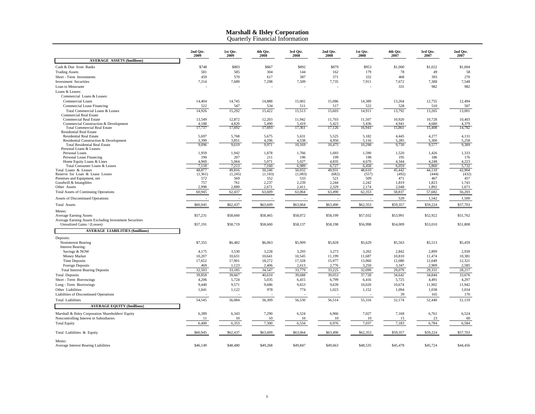Quarterly Financial Information

|                                                                                         | 2nd Otr.<br>2009 | 1st Otr.<br>2009 | 4th Otr.<br>2008 | 3rd Otr.<br>2008 | 2nd Otr.<br>2008 | 1st Otr.<br>2008 | 4th Qtr.<br>2007 | 3rd Qtr.<br>2007 | 2nd Otr.<br>2007 |
|-----------------------------------------------------------------------------------------|------------------|------------------|------------------|------------------|------------------|------------------|------------------|------------------|------------------|
| <b>AVERAGE ASSETS (\$millions)</b>                                                      |                  |                  |                  |                  |                  |                  |                  |                  |                  |
| Cash & Due from Banks                                                                   | \$748            | \$803            | \$867            | \$892            | \$879            | \$953            | \$1,000          | \$1,022          | \$1,004          |
| <b>Trading Assets</b>                                                                   | 581              | 585              | 304              | 144              | 162              | 179              | 78               | 49               | 58               |
| Short - Term Investments                                                                | 459              | 570              | 617              | 387              | 371              | 332              | 468              | 393              | 270              |
| <b>Investment Securities</b>                                                            | 7,314            | 7,689            | 7,298            | 7,509            | 7,735            | 7,911            | 7,672            | 7,388            | 7,548            |
| Loan to Metavante                                                                       |                  |                  |                  |                  |                  |                  | 331              | 982              | 982              |
| Loans & Leases:                                                                         |                  |                  |                  |                  |                  |                  |                  |                  |                  |
| Commercial Loans & Leases:                                                              |                  |                  |                  |                  |                  |                  |                  |                  |                  |
| <b>Commercial Loans</b>                                                                 | 14,404           | 14,745           | 14,888           | 15,002           | 15,086           | 14,389           | 13,264           | 12,755           | 12,494           |
| Commercial Lease Financing                                                              | 522              | 547              | 534              | 511              | 517              | 522              | 528              | 510              | 507              |
| Total Commercial Loans & Leases<br><b>Commercial Real Estate</b>                        | 14,926           | 15,292           | 15,422           | 15,513           | 15,603           | 14,911           | 13,792           | 13,265           | 13,001           |
| <b>Commercial Real Estate</b>                                                           | 13,549           | 12,872           | 12,203           | 11,942           | 11,703           | 11,507           | 10,920           | 10,728           | 10,403           |
| Commercial Construction & Development                                                   | 4,188            | 4,820            | 5.490            | 5,419            | 5,423            | 5,436            | 4,941            | 4.680            | 4,379            |
| <b>Total Commercial Real Estate</b>                                                     | 17,737           | 17,692           | 17,693           | 17,361           | 17,126           | 16,943           | 15,861           | 15,408           | 14,782           |
| <b>Residential Real Estate</b>                                                          |                  |                  |                  |                  |                  |                  |                  |                  |                  |
| <b>Residential Real Estate</b><br>Residential Construction & Development                | 5,697<br>3,399   | 5,768<br>3,851   | 5,675<br>4,296   | 5,631<br>4,538   | 5,525<br>4,950   | 5,182<br>5,116   | 4,445<br>5,285   | 4,277<br>5,300   | 4,131<br>5,258   |
| <b>Total Residential Real Estate</b>                                                    | 9,096            | 9,619            | 9,971            | 10,169           | 10,475           | 10,298           | 9,730            | 9,577            | 9,389            |
| Personal Loans & Leases:                                                                |                  |                  |                  |                  |                  |                  |                  |                  |                  |
| Personal Loans                                                                          | 1,959            | 1,942            | 1,878            | 1,766            | 1,693            | 1,590            | 1,520            | 1,426            | 1,333            |
| Personal Lease Financing                                                                | 190              | 207<br>5.064     | 211<br>5.071     | 196<br>5.027     | 199              | 198              | 195              | 186              | 176              |
| Home Equity Loans & Lines<br>Total Consumer Loans & Leases                              | 4.969<br>7,118   | 7,213            | 7,160            | 6.989            | 4,835<br>6,727   | 4,670<br>6,458   | 4,344<br>6,059   | 4,248<br>5,860   | 4,223<br>5,732   |
| Total Loans & Leases                                                                    | 48,877           | 49,816           | 50,246           | 50,032           | 49,931           | 48,610           | 45,442           | 44,110           | 42,904           |
| Reserve for Loan & Lease Losses                                                         | (1,361)          | (1,245)          | (1,183)          | (1,083)          | (682)            | (557)            | (492)            | (444)            | (432)            |
| Premises and Equipment, net                                                             | 572              | 569              | 552              | 533              | 521              | 509              | 471              | 467              | 457              |
| Goodwill & Intangibles<br>Other Assets                                                  | 757<br>2,998     | 761<br>2,889     | 2,237<br>2,671   | 2,239<br>2,411   | 2,244<br>2,329   | 2,242<br>2,174   | 1,819<br>2,048   | 1,823<br>1,892   | 1,741<br>1,671   |
| <b>Total Assets of Continuing Operations</b>                                            | 60,945           | 62,437           | 63,609           | 63,064           | 63,490           | 62,353           | 58,837           | 57,682           | 56,203           |
|                                                                                         |                  |                  |                  |                  |                  |                  |                  |                  |                  |
| Assets of Discontinued Operations                                                       |                  |                  | $\sim$           | $\sim$           | $\sim$           |                  | 520              | 1,542            | 1,500            |
| <b>Total Assets</b>                                                                     | \$60,945         | \$62,437         | \$63,609         | \$63,064         | \$63,490         | \$62,353         | \$59,357         | \$59,224         | \$57,703         |
| Memo:                                                                                   |                  |                  |                  |                  |                  |                  |                  |                  |                  |
| <b>Average Earning Assets</b><br>Average Earning Assets Excluding Investment Securities | \$57,231         | \$58,660         | \$58,465         | \$58,072         | \$58,199         | \$57,032         | \$53,991         | \$52,922         | \$51,762         |
| Unrealized Gains / (Losses)                                                             | \$57,191         | \$58,719         | \$58,600         | \$58,137         | \$58,198         | \$56,998         | \$54,009         | \$53,010         | \$51,808         |
| <b>AVERAGE LIABILITIES (\$millions)</b>                                                 |                  |                  |                  |                  |                  |                  |                  |                  |                  |
| Deposits:                                                                               |                  |                  |                  |                  |                  |                  |                  |                  |                  |
| Noninterest Bearing                                                                     | \$7,355          | \$6,482          | \$6,063          | \$5,909          | \$5,828          | \$5,629          | \$5,563          | \$5,513          | \$5,459          |
| Interest Bearing:                                                                       |                  |                  |                  |                  |                  |                  |                  |                  |                  |
| Savings & NOW                                                                           | 4,175            | 3,530            | 3,228            | 3,293            | 3,273            | 3,202            | 2,842            | 2,899            | 2,930            |
| Money Market                                                                            | 10,207           | 10,631           | 10,641           | 10,545           | 11,199           | 11,687           | 10,810           | 11,474           | 10,381           |
| <b>Time Deposits</b>                                                                    | 17,652           | 17,901           | 18.272           | 17.328           | 15,977           | 13,960           | 12,080           | 12.049           | 12.321           |
| Foreign Deposits                                                                        | 469              | 1,123            | 2,406            | 2,613            | 2,776            | 3,250            | 3,347            | 2,909            | 2,585            |
| <b>Total Interest Bearing Deposits</b>                                                  | 32,503           | 33,185           | 34,547           | 33,779           | 33,225           | 32,099           | 29,079           | 29,331           | 28,217           |
| <b>Total Deposits</b>                                                                   | 39,858           | 39,667           | 40,610           | 39,688           | 39,053           | 37,728           | 34,642           | 34,844           | 33,676           |
| Short - Term Borrowings                                                                 | 4,206            | 5,724            | 5,035            | 6,415            | 6,799            | 6,416            | 5,725            | 4,491            | 4,297            |
| Long - Term Borrowings                                                                  | 9,440            | 9,571            | 9,686            | 9,653            | 9,639            | 10,020           | 10,674           | 11,902           | 11,942           |
| Other Liabilities                                                                       | 1,041            | 1,122            | 978              | 774              | 1,023            | 1,152            | 1,094<br>39      | 1,038            | 1,034            |
| Liabilities of Discontinued Operations<br><b>Total Liabilities</b>                      |                  |                  |                  |                  |                  |                  |                  | 165              | 170              |
|                                                                                         | 54,545           | 56,084           | 56,309           | 56,530           | 56,514           | 55,316           | 52,174           | 52,440           | 51,119           |
| <b>AVERAGE EQUITY (\$millions)</b>                                                      |                  |                  |                  |                  |                  |                  |                  |                  |                  |
| Marshall & Ilsley Corporation Shareholders' Equity                                      | 6,389            | 6,343            | 7,290            | 6,524            | 6,966            | 7,027            | 7,168            | 6,761            | 6,524            |
| Noncontrolling Interest in Subsidiaries                                                 | 11               | 10               | 10               | 10               | 10               | 10               | 15               | 23               | 60               |
| <b>Total Equity</b>                                                                     | 6,400            | 6,353            | 7,300            | 6,534            | 6,976            | 7,037            | 7,183            | 6,784            | 6,584            |
| Total Liabilities & Equity                                                              | \$60,945         | \$62,437         | \$63,609         | \$63,064         | \$63,490         | \$62,353         | \$59,357         | \$59,224         | \$57,703         |
| Memo:                                                                                   |                  |                  |                  |                  |                  |                  |                  |                  |                  |
| Average Interest Bearing Liabilities                                                    | \$46,149         | \$48,480         | \$49,268         | \$49,847         | \$49,663         | \$48,535         | \$45,478         | \$45,724         | \$44,456         |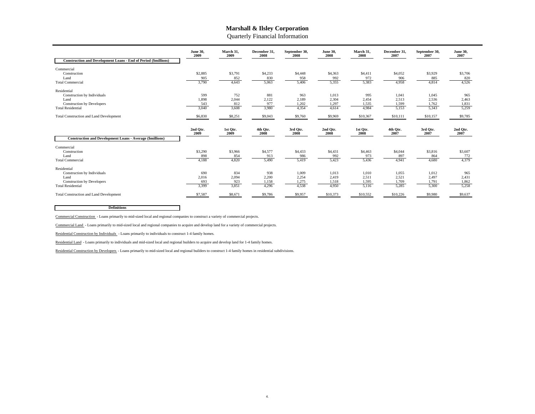Quarterly Financial Information

| <b>Construction and Development Loans - End of Period (\$millions)</b>                                              | <b>June 30,</b><br>2009      | March 31,<br>2009            | December 31.<br>2008           | September 30,<br>2008            | <b>June 30.</b><br>2008          | March 31,<br>2008                | December 31.<br>2007             | September 30,<br>2007            | <b>June 30.</b><br>2007        |
|---------------------------------------------------------------------------------------------------------------------|------------------------------|------------------------------|--------------------------------|----------------------------------|----------------------------------|----------------------------------|----------------------------------|----------------------------------|--------------------------------|
| Commercial<br>Construction<br>Land<br><b>Total Commercial</b>                                                       | \$2,885<br>905<br>3,790      | \$3,791<br>852<br>4,643      | \$4,233<br>830<br>5,063        | \$4,448<br>958<br>5,406          | \$4,363<br>992<br>5,355          | \$4,411<br>972<br>5,383          | \$4,052<br>906<br>4,958          | \$3,929<br>885<br>4,814          | \$3,706<br>820<br>4,526        |
| Residential<br>Construction by Individuals<br>Land<br><b>Construction by Developers</b><br><b>Total Residential</b> | 599<br>1,898<br>543<br>3,040 | 752<br>2,044<br>812<br>3,608 | 881<br>2,122<br>977<br>3,980   | 963<br>2,189<br>1,202<br>4,354   | 1,013<br>2,304<br>1,297<br>4,614 | 995<br>2,454<br>1,535<br>4,984   | 1,041<br>2,513<br>1,599<br>5,153 | 1,045<br>2,536<br>1,762<br>5,343 | 965<br>2,463<br>1,831<br>5,259 |
| <b>Total Construction and Land Development</b>                                                                      | \$6,830                      | \$8,251                      | \$9,043                        | \$9,760                          | \$9,969                          | \$10,367                         | \$10,111                         | \$10,157                         | \$9,785                        |
| <b>Construction and Development Loans - Average (\$millions)</b>                                                    | 2nd Otr.<br>2009             | 1st Otr.<br>2009             | 4th Otr.<br>2008               | 3rd Otr.<br>2008                 | 2nd Otr.<br>2008                 | 1st Otr.<br>2008                 | 4th Otr.<br>2007                 | 3rd Otr.<br>2007                 | 2nd Otr.<br>2007               |
| Commercial<br>Construction<br>Land<br><b>Total Commercial</b>                                                       | \$3,290<br>898<br>4,188      | \$3,966<br>854<br>4,820      | \$4,577<br>913<br>5,490        | \$4,433<br>986<br>5,419          | \$4,431<br>992<br>5,423          | \$4,463<br>973<br>5,436          | \$4,044<br>897<br>4,941          | \$3,816<br>864<br>4,680          | \$3,607<br>772<br>4,379        |
| Residential<br>Construction by Individuals<br>Land<br><b>Construction by Developers</b><br><b>Total Residential</b> | 690<br>2,016<br>693<br>3,399 | 834<br>2,094<br>923<br>3,851 | 938<br>2,200<br>1,158<br>4,296 | 1,009<br>2,254<br>1,275<br>4,538 | 1,013<br>2,419<br>1,518<br>4,950 | 1,010<br>2,511<br>1,595<br>5,116 | 1,055<br>2,521<br>1,709<br>5,285 | 1,012<br>2,497<br>1,791<br>5,300 | 965<br>2,431<br>1,862<br>5,258 |
| <b>Total Construction and Land Development</b>                                                                      | \$7,587                      | \$8,671                      | \$9,786                        | \$9,957                          | \$10,373                         | \$10,552                         | \$10,226                         | \$9,980                          | \$9,637                        |

**Definitions**

Commercial Construction - Loans primarily to mid-sized local and regional companies to construct a variety of commercial projects.

Commercial Land - Loans primarily to mid-sized local and regional companies to acquire and develop land for a variety of commercial projects.

Residential Construction by Individuals - Loans primarily to individuals to construct 1-4 family homes.

Residential Land - Loans primarily to individuals and mid-sized local and regional builders to acquire and develop land for 1-4 family homes.

Residential Construction by Developers - Loans primarily to mid-sized local and regional builders to construct 1-4 family homes in residential subdivisions.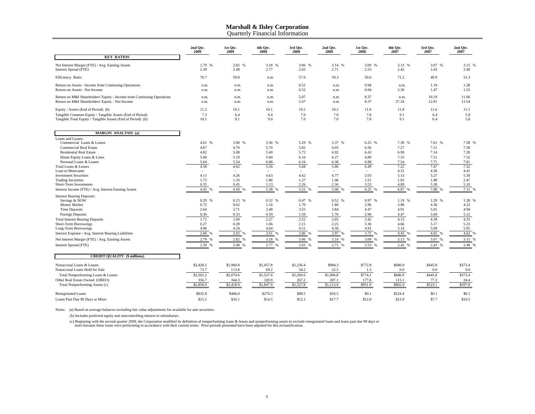Quarterly Financial Information

|                                                                                                                           | 2nd Otr.<br>2009 | 1st Qtr.<br>2009 | 4th Qtr.<br>2008 | 3rd Qtr.<br>2008 | 2nd Qtr.<br>2008 | 1st Qtr.<br>2008 | 4th Qtr.<br>2007       | 3rd Qtr.<br>2007 | 2nd Qtr.<br>2007 |
|---------------------------------------------------------------------------------------------------------------------------|------------------|------------------|------------------|------------------|------------------|------------------|------------------------|------------------|------------------|
| <b>KEY RATIOS</b>                                                                                                         |                  |                  |                  |                  |                  |                  |                        |                  |                  |
| Net Interest Margin (FTE) / Avg. Earning Assets<br>Interest Spread (FTE)                                                  | 2.79 %<br>2.39   | 2.82 %<br>2.48   | 3.18 %<br>2.77   | 3.06 %<br>2.65   | 3.14 %<br>2.71   | 3.09 %<br>2.53   | 3.13 %<br>2.42         | 3.07 %<br>2.43   | 3.15%<br>2.49    |
| Efficiency Ratio                                                                                                          | 70.7             | 59.0             | n.m.             | 57.0             | 59.3             | 50.6             | 71.2                   | 49.9             | 51.3             |
| Return on Assets - Income from Continuing Operations<br>Return on Assets - Net Income                                     | n.m.<br>n.m.     | n.m.<br>n.m.     | n.m.<br>n.m.     | 0.52<br>0.52     | n.m.<br>n.m.     | 0.94<br>0.94     | n.m.<br>3.30           | 1.19<br>1.47     | 1.28<br>1.53     |
| Return on M&I Shareholders' Equity - Income from Continuing Operations<br>Return on M&I Shareholders' Equity - Net Income | n.m.<br>n.m.     | n.m.<br>n.m.     | n.m.<br>n.m.     | 5.07<br>5.07     | n.m.<br>n.m.     | 8.37<br>8.37     | n.m.<br>27.34          | 10.19<br>12.91   | 11.00<br>13.54   |
| Equity / Assets (End of Period) (b)                                                                                       | 11.2             | 10.1             | 10.1             | 10.2             | 10.2             | 11.0             | 11.8                   | 11.6             | 11.1             |
| Tangible Common Equity / Tangible Assets (End of Period)<br>Tangible Total Equity / Tangible Assets (End of Period) (b)   | 7.3<br>10.1      | 6.4<br>9.1       | 6.4<br>9.0       | 7.0<br>7.0       | 7.0<br>7.0       | 7.8<br>7.8       | 9.1<br>9.1             | 6.4<br>6.4       | 5.8<br>5.8       |
| <b>MARGIN ANALYSIS (a)</b>                                                                                                |                  |                  |                  |                  |                  |                  |                        |                  |                  |
| Loans and Leases:                                                                                                         |                  |                  |                  |                  |                  |                  |                        |                  |                  |
| Commercial Loans & Leases<br><b>Commercial Real Estate</b>                                                                | 4.01 %<br>4.67   | 3.90 %<br>4.70   | 5.36 %<br>5.70   | 5.29 %<br>5.82   | 5.37 %<br>6.03   | 6.25 %<br>6.56   | 7.30 %<br>7.27         | 7.61 %<br>7.51   | 7.58 %<br>7.58   |
| <b>Residential Real Estate</b>                                                                                            | 4.82             | 5.08             | 5.40             | 5.72             | 6.02             | 6.43             | 6.90                   | 7.14             | 7.28             |
| Home Equity Loans & Lines                                                                                                 | 5.06             | 5.19             | 5.84             | 6.16             | 6.27             | 6.89             | 7.33                   | 7.51             | 7.52             |
| Personal Loans & Leases                                                                                                   | 5.64             | 5.54             | 6.08             | 6.16             | 6.38             | 6.98             | 7.54                   | 7.71             | 7.81             |
| Total Loans & Leases                                                                                                      | 4.58             | 4.62             | 5.56             | 5.68             | 5.86             | 6.49             | 7.22                   | 7.47             | 7.52             |
| Loan to Metavante                                                                                                         | $\sim$           | $\sim$           |                  | $\sim$           |                  | $\sim$           | 4.31                   | 4.36             | 4.41             |
| <b>Investment Securities</b>                                                                                              | 4.11             | 4.26             | 4.63             | 4.62             | 4.77             | 5.03             | 5.13                   | 5.27             | 5.30             |
| <b>Trading Securities</b><br>Short-Term Investments                                                                       | 1.75<br>0.35     | 1.33<br>0.45     | 1.86<br>1.13     | 1.27<br>2.26     | 1.06<br>2.36     | 1.51<br>3.53     | 1.83<br>4.89           | 1.98<br>5.30     | 2.47<br>5.10     |
| Interest Income (FTE) / Avg. Interest Earning Assets                                                                      | 4.45 %           | 4.50 %           | 5.38 %           | 5.51<br>%        | 5.68 %           | 6.25 %           | 6.87<br>%              | 7.08             | 7.11 %           |
|                                                                                                                           |                  |                  |                  |                  |                  |                  |                        |                  |                  |
| <b>Interest Bearing Deposits:</b>                                                                                         |                  |                  |                  |                  |                  |                  |                        |                  |                  |
| Savings & NOW<br>Money Market                                                                                             | 0.29 %<br>0.72   | 0.13 %<br>0.62   | 0.32 %<br>1.16   | 0.47 %<br>1.70   | 0.52%<br>1.80    | 0.97 %<br>2.96   | 1.19 %<br>3.98         | 1.29 %<br>4.36   | 1.28%<br>4.32    |
| Time Deposits                                                                                                             | 2.64             | 2.71             | 3.48             | 3.55             | 3.84             | 4.47             | 4.91                   | 5.01             | 4.94             |
| Foreign Deposits                                                                                                          | 0.36             | 0.33             | 0.59             | 1.59             | 1.76             | 2.96             | 4.47                   | 5.04             | 5.12             |
| <b>Total Interest Bearing Deposits</b>                                                                                    | 1.71             | 1.69             | 2.27             | 2.52             | 2.65             | 3.42             | 4.15                   | 4.39             | 4.35             |
| Short-Term Borrowings                                                                                                     | 0.27             | 0.28             | 1.06             | 2.15             | 2.25             | 3.36             | 4.66                   | 5.17             | 5.23             |
| Long-Term Borrowings                                                                                                      | 4.06             | 4.24             | 4.64             | 4.51             | 4.58             | 4.91             | 5.14                   | 5.09             | 5.05             |
| Interest Expense / Avg. Interest Bearing Liabilities                                                                      | 2.06 %           | 2.02<br>%        | 2.61 %           | 2.86 %           | 2.97 %           | 3.72 %           | 4.45<br>$\frac{96}{2}$ | 4.65             | 4.62%            |
| Net Interest Margin (FTE) / Avg. Earning Assets                                                                           | 2.79 %           | 2.82 %           | 3.18 %           | 3.06             | 3.14 %           | 3.09 %           | 3.13 %                 | 3.07 %           | 3.15%            |
| Interest Spread (FTE)                                                                                                     | 2.39 %           | 2.48 %           | 2.77 %           | 2.65%            | 2.71 %           | 2.53 %           | 2.42 %                 | 2.43 %           | 2.49 %           |
| <b>CREDIT QUALITY (\$ millions)</b>                                                                                       |                  |                  |                  |                  |                  |                  |                        |                  |                  |
| Nonaccrual Loans & Leases                                                                                                 | \$2,428.5        | \$1,960.8        | \$1,457.8        | \$1,226.4        | \$984.3          | \$772.8          | \$686.9                | \$445.8          | \$373.4          |
| Nonaccrual Loans Held for Sale                                                                                            | 73.7             | 113.8            | 69.2             | 34.2             | 22.5             | 1.3              | 0.0                    | 0.0              | 0.0              |
| Total Nonperforming Loans & Leases                                                                                        | \$2,502.2        | \$2,074.6        | \$1,527.0        | \$1,260.6        | \$1,006.8        | \$774.1          | \$686.9                | \$445.8          | \$373.4          |
| Other Real Estate Owned (OREO)                                                                                            | 356.7            | 344.3            | 320.9            | 267.2            | 207.1            | 177.8            | 115.1                  | 77.3             | 24.4             |
| Total Nonperforming Assets (c)                                                                                            | \$2,858.9        | \$2,418.9        | \$1,847.9        | \$1,527.8        | \$1,213.9        | \$951.9          | \$802.0                | \$523.1          | \$397.8          |
| <b>Renegotiated Loans</b>                                                                                                 | \$832.8          | \$446.0          | \$270.3          | \$89.5           | \$16.5           | \$0.1            | \$224.4                | \$0.1            | \$0.1            |
| Loans Past Due 90 Days or More                                                                                            | \$15.1           | \$16.1           | \$14.5           | \$12.1           | \$17.7           | \$12.8           | \$13.9                 | \$7.7            | \$10.5           |

Notes: (a) Based on average balances excluding fair value adjustments for available for sale securities.

(b) Includes preferred equity and noncontrolling interest in subsidiaries.

(c) Beginning with the second quarter 2009, the Corporation modified its definition of nonperforming loans & leases and nonperforming assets to exclude renegotiated loans and loans past due 90 days or<br>more because these lo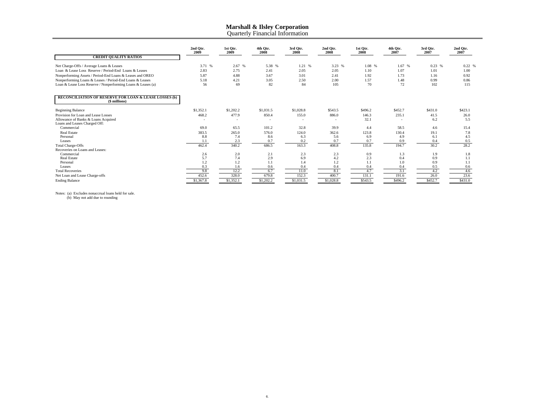Quarterly Financial Information

| <b>CREDIT QUALITY RATIOS</b>                                                                      | 2nd Otr.<br>2009 | 1st Qtr.<br>2009 | 4th Qtr.<br>2008 | 3rd Qtr.<br>2008 | 2nd Otr.<br>2008 | 1st Qtr.<br>2008 | 4th Qtr.<br>2007 | 3rd Qtr.<br>2007 | 2nd Qtr.<br>2007 |
|---------------------------------------------------------------------------------------------------|------------------|------------------|------------------|------------------|------------------|------------------|------------------|------------------|------------------|
| Net Charge-Offs / Average Loans & Leases<br>Loan & Lease Loss Reserve / Period-End Loans & Leases | 3.71 %<br>2.83   | 2.67%<br>2.75    | 5.38 %<br>2.41   | 1.21 %<br>2.05   | 3.23 %<br>2.05   | 1.08 %<br>1.10   | 1.67 %<br>1.07   | 0.23 %<br>1.01   | $0.22$ %<br>1.00 |
| Nonperforming Assets / Period-End Loans & Leases and OREO                                         | 5.87             | 4.88             | 3.67             | 3.01             | 2.41             | 1.92             | 1.73             | 1.16             | 0.92             |
| Nonperforming Loans & Leases / Period-End Loans & Leases                                          | 5.18             | 4.21             | 3.05             | 2.50             | 2.00             | 1.57             | 1.48             | 0.99             | 0.86             |
| Loan & Lease Loss Reserve / Nonperforming Loans & Leases (a)                                      | 56               | 69               | 82               | 84               | 105              | 70               | 72               | 102              | 115              |
| <b>RECONCILIATION OF RESERVE FOR LOAN &amp; LEASE LOSSES (b)</b><br>(\$ millions)                 |                  |                  |                  |                  |                  |                  |                  |                  |                  |
| <b>Beginning Balance</b>                                                                          | \$1,352.1        | \$1,202.2        | \$1,031.5        | \$1,028.8        | \$543.5          | \$496.2          | \$452.7          | \$431.0          | \$423.1          |
| Provision for Loan and Lease Losses                                                               | 468.2            | 477.9            | 850.4            | 155.0            | 886.0            | 146.3            | 235.1            | 41.5             | 26.0             |
| Allowance of Banks & Loans Acquired<br>Loans and Leases Charged Off:                              |                  |                  |                  |                  |                  | 32.1             |                  | 6.2              | 5.5              |
| Commercial                                                                                        | 69.0             | 65.5             | 101.2            | 32.8             | 39.9             | 4.4              | 58.5             | 4.6              | 15.4             |
| <b>Real Estate</b>                                                                                | 383.5            | 265.0            | 576.0            | 124.0            | 362.6            | 123.8            | 130.4            | 19.1             | 7.8              |
| Personal                                                                                          | 8.8              | 7.4              | 8.6              | 6.3              | 5.6              | 6.9              | 4.9              | 6.1              | 4.5              |
| Leases                                                                                            | 1.1              | 2.3              | 0.7              | 0.2              | 0.7              | 0.7              | 0.9              | 0.4              | 0.5              |
| <b>Total Charge-Offs</b>                                                                          | 462.4            | 340.2            | 686.5            | 163.3            | 408.8            | 135.8            | 194.7            | 30.2             | 28.2             |
| Recoveries on Loans and Leases:                                                                   |                  |                  |                  |                  |                  |                  |                  |                  |                  |
| Commercial                                                                                        | 2.6              | 2.0              | 2.1              | 2.3              | 2.3              | 0.9              | 1.3              | 1.9              | 1.8              |
| <b>Real Estate</b>                                                                                | 5.7              | 7.4              | 2.9              | 6.9              | 4.2              | 2.3              | 0.4              | 0.9              | 1.1              |
| Personal                                                                                          | 1.2              | 1.2              | 1.1              | 1.4              | 1.2              | 1.1              | 1.0              | 0.9              | 1.1              |
| Leases                                                                                            | 0.3              | 1.6              | 0.6              | 0.4              | 0.4              | 0.4              | 0.4              | 0.5              | 0.6              |
| <b>Total Recoveries</b>                                                                           | 9.8              | 12.2             | 6.7              | 11.0             | 8.1              | 4.7              | 3.1              | 4.2              | 4.6              |
| Net Loan and Lease Charge-offs                                                                    | 452.6            | 328.0            | 679.8            | 152.3            | 400.7            | 131.1            | 191.6            | 26.0             | 23.6             |
| <b>Ending Balance</b>                                                                             | \$1,367.8        | \$1,352.1        | \$1,202.2        | \$1,031.5        | \$1,028.8        | \$543.5          | \$496.2          | \$452.7          | \$431.0          |

Notes: (a) Excludes nonaccrual loans held for sale. (b) May not add due to rounding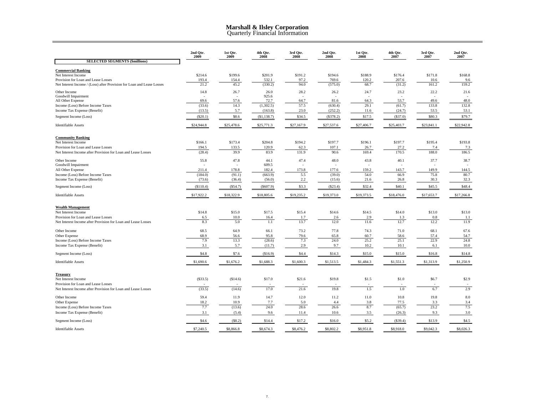#### **Marshall & Ilsley Corporation** Quarterly Financial Information

|                                                                                                      | 2nd Qtr.<br>2009 | 1st Qtr.<br>2009 | 4th Qtr.<br>2008  | 3rd Qtr.<br>2008 | 2nd Qtr.<br>2008 | 1st Qtr.<br>2008 | 4th Qtr.<br>2007 | 3rd Qtr.<br>2007 | 2nd Qtr.<br>2007 |
|------------------------------------------------------------------------------------------------------|------------------|------------------|-------------------|------------------|------------------|------------------|------------------|------------------|------------------|
| <b>SELECTED SEGMENTS (\$millions)</b>                                                                |                  |                  |                   |                  |                  |                  |                  |                  |                  |
| <b>Commercial Banking</b><br>Net Interest Income<br>Provision for Loan and Lease Losses              | \$214.6<br>193.4 | \$199.6<br>154.4 | \$201.9<br>532.1  | \$191.2<br>97.2  | \$194.6<br>769.6 | \$188.9<br>120.2 | \$176.4<br>207.6 | \$171.8<br>10.6  | \$168.8<br>9.6   |
| Net Interest Income / (Loss) after Provision for Loan and Lease Losses                               | 21.2             | 45.2             | (330.2)           | 94.0             | (575.0)          | 68.7             | (31.2)           | 161.2            | 159.2            |
| Other Income<br>Goodwill Impairment                                                                  | 14.8             | 26.7             | 26.0<br>925.6     | 28.2             | 26.2             | 24.7             | 23.2             | 22.2             | 21.6             |
| All Other Expense<br>Income (Loss) Before Income Taxes                                               | 69.6<br>(33.6)   | 57.6<br>14.3     | 72.7<br>(1,302.5) | 64.7<br>57.5     | 81.6<br>(630.4)  | 64.3<br>29.1     | 53.7<br>(61.7)   | 49.6<br>133.8    | 48.0<br>132.8    |
| Income Tax Expense (Benefit)                                                                         | (13.5)           | 5.7              | (163.8)           | 23.0             | (252.2)          | 11.6             | (24.7)           | 53.5             | 53.1             |
| Segment Income (Loss)                                                                                | (\$20.1)         | \$8.6            | (\$1,138.7)       | \$34.5           | (\$378.2)        | \$17.5           | (\$37.0)         | \$80.3           | \$79.7           |
| <b>Identifiable Assets</b>                                                                           | \$24,944.8       | \$25,478.6       | \$25,771.3        | \$27,167.9       | \$27,537.6       | \$27,406.7       | \$25,403.7       | \$23,841.1       | \$22,942.8       |
| <b>Community Banking</b>                                                                             |                  |                  |                   |                  |                  |                  |                  |                  |                  |
| Net Interest Income<br>Provision for Loan and Lease Losses                                           | \$166.1<br>194.5 | \$173.4<br>133.5 | \$204.8<br>120.9  | \$194.2<br>62.3  | \$197.7<br>107.1 | \$196.1<br>26.7  | \$197.7<br>27.2  | \$195.4<br>7.4   | \$193.8<br>7.3   |
| Net Interest Income after Provision for Loan and Lease Losses                                        | (28.4)           | 39.9             | 83.9              | 131.9            | 90.6             | 169.4            | 170.5            | 188.0            | 186.5            |
| Other Income<br>Goodwill Impairment                                                                  | 55.8             | 47.8             | 44.1<br>609.5     | 47.4             | 48.0             | 43.8             | 40.1             | 37.7             | 38.7             |
| All Other Expense                                                                                    | 211.4            | 178.8            | 182.4             | 173.8            | 177.6            | 159.2            | 143.7            | 149.9            | 144.5            |
| Income (Loss) Before Income Taxes                                                                    | (184.0)          | (91.1)           | (663.9)           | 5.5              | (39.0)           | 54.0             | 66.9             | 75.8             | 80.7             |
| Income Tax Expense (Benefit)                                                                         | (73.6)           | (36.4)           | (56.0)            | 2.2              | (15.6)           | 21.6             | 26.8             | 30.3             | 32.3             |
| Segment Income (Loss)                                                                                | (\$110.4)        | (S54.7)          | (\$607.9)         | \$3.3            | (\$23.4)         | \$32.4           | \$40.1           | \$45.5           | \$48.4           |
| Identifiable Assets                                                                                  | \$17,922.2       | \$18,322.9       | \$18,805.6        | \$19,235.2       | \$19,373.0       | \$19,373.5       | \$18,476.0       | \$17,653.7       | \$17,266.8       |
| <b>Wealth Management</b>                                                                             |                  |                  |                   |                  |                  |                  |                  |                  |                  |
| Net Interest Income                                                                                  | \$14.8           | \$15.0           | \$17.5            | \$15.4           | \$14.6           | \$14.5           | \$14.0           | \$13.0           | \$13.0           |
| Provision for Loan and Lease Losses<br>Net Interest Income after Provision for Loan and Lease Losses | 6.5<br>8.3       | 10.0<br>5.0      | 16.4<br>$1.1\,$   | 1.7<br>13.7      | 2.6<br>12.0      | 2.9<br>11.6      | 1.3<br>12.7      | 0.8<br>12.2      | 1.1<br>11.9      |
| Other Income                                                                                         | 68.5             | 64.9             | 66.1              | 73.2             | 77.8             | 74.3             | 71.0             | 68.1             | 67.6             |
| Other Expense                                                                                        | 68.9             | 56.6             | 95.8              | 79.6             | 65.8             | 60.7             | 58.6             | 57.4             | 54.7             |
| Income (Loss) Before Income Taxes                                                                    | 7.9              | 13.3             | (28.6)            | 7.3              | 24.0             | 25.2             | 25.1             | 22.9             | 24.8             |
| Income Tax Expense (Benefit)                                                                         | 3.1              | 5.7              | (11.7)            | 2.9              | 9.7              | 10.2             | 10.1             | 6.1              | 10.0             |
| Segment Income (Loss)                                                                                | \$4.8            | \$7.6            | (S16.9)           | \$4.4            | \$14.3           | \$15.0           | \$15.0           | \$16.8           | \$14.8           |
| <b>Identifiable Assets</b>                                                                           | \$1,690.6        | \$1,676.2        | \$1,688.3         | \$1,600.3        | \$1,513.5        | \$1,484.3        | \$1,551.3        | \$1,313.9        | \$1,250.9        |
| <b>Treasury</b><br>Net Interest Income                                                               | (\$33.5)         | (S14.6)          | \$17.0            | \$21.6           | \$19.8           | \$1.5            | \$1.0            | \$6.7            | \$2.9            |
| Provision for Loan and Lease Losses                                                                  |                  |                  |                   |                  |                  |                  |                  |                  |                  |
| Net Interest Income after Provision for Loan and Lease Losses                                        | (33.5)           | (14.6)           | 17.0              | 21.6             | 19.8             | 1.5              | 1.0              | 6.7              | 2.9              |
| Other Income                                                                                         | 59.4             | 11.9             | 14.7              | 12.0             | 11.2             | 11.0             | 10.8             | 19.8             | 8.0              |
| Other Expense                                                                                        | 18.2<br>7.7      | 10.9<br>(13.6)   | 7.7<br>24.0       | 5.0<br>28.6      | 4.4<br>26.6      | 3.8<br>8.7       | 77.5<br>(65.7)   | 3.3<br>23.2      | 3.4<br>7.5       |
| Income (Loss) Before Income Taxes<br>Income Tax Expense (Benefit)                                    | 3.1              | (5.4)            | 9.6               | 11.4             | 10.6             | 3.5              | (26.3)           | 9.3              | 3.0              |
| Segment Income (Loss)                                                                                | \$4.6            | (\$8.2)          | \$14.4            | \$17.2           | \$16.0           | \$5.2            | (\$39.4)         | \$13.9           | \$4.5            |
| <b>Identifiable Assets</b>                                                                           | \$7,240.5        | \$8,866.8        | \$8,674.3         | \$8,476.2        | \$8,802.2        | \$8,951.8        | \$8,918.0        | \$9,042.3        | \$8,026.3        |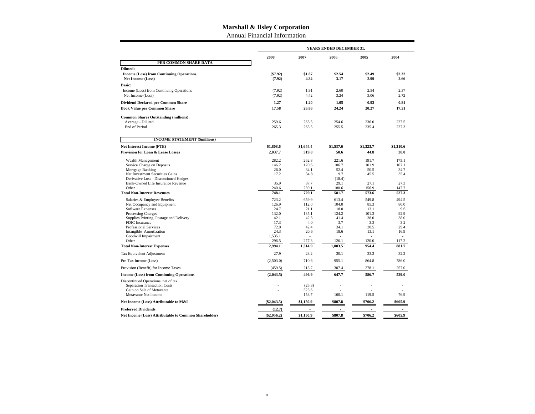Annual Financial Information

|                                                                                                                                                                                                                                                                                                                     | YEARS ENDED DECEMBER 31,                                                                       |                                                                                                                |                                                                                                      |                                                                                                   |                                                                                                 |  |  |  |  |
|---------------------------------------------------------------------------------------------------------------------------------------------------------------------------------------------------------------------------------------------------------------------------------------------------------------------|------------------------------------------------------------------------------------------------|----------------------------------------------------------------------------------------------------------------|------------------------------------------------------------------------------------------------------|---------------------------------------------------------------------------------------------------|-------------------------------------------------------------------------------------------------|--|--|--|--|
|                                                                                                                                                                                                                                                                                                                     | 2008                                                                                           | 2007                                                                                                           | 2006                                                                                                 | 2005                                                                                              | 2004                                                                                            |  |  |  |  |
| PER COMMON SHARE DATA                                                                                                                                                                                                                                                                                               |                                                                                                |                                                                                                                |                                                                                                      |                                                                                                   |                                                                                                 |  |  |  |  |
| Diluted:<br><b>Income (Loss) from Continuing Operations</b><br><b>Net Income (Loss)</b>                                                                                                                                                                                                                             | ( \$7.92)<br>(7.92)                                                                            | \$1.87<br>4.34                                                                                                 | \$2.54<br>3.17                                                                                       | \$2.49<br>2.99                                                                                    | \$2.32<br>2.66                                                                                  |  |  |  |  |
| <b>Basic:</b><br>Income (Loss) from Continuing Operations<br>Net Income (Loss)                                                                                                                                                                                                                                      | (7.92)<br>(7.92)                                                                               | 1.91<br>4.42                                                                                                   | 2.60<br>3.24                                                                                         | 2.54<br>3.06                                                                                      | 2.37<br>2.72                                                                                    |  |  |  |  |
| <b>Dividend Declared per Common Share</b>                                                                                                                                                                                                                                                                           | 1.27                                                                                           | 1.20                                                                                                           | 1.05                                                                                                 | 0.93                                                                                              | 0.81                                                                                            |  |  |  |  |
| <b>Book Value per Common Share</b>                                                                                                                                                                                                                                                                                  | 17.58                                                                                          | 26.86                                                                                                          | 24.24                                                                                                | 20.27                                                                                             | 17.51                                                                                           |  |  |  |  |
| <b>Common Shares Outstanding (millions):</b><br>Average - Diluted<br><b>End of Period</b>                                                                                                                                                                                                                           | 259.6<br>265.3                                                                                 | 265.5<br>263.5                                                                                                 | 254.6<br>255.5                                                                                       | 236.0<br>235.4                                                                                    | 227.5<br>227.3                                                                                  |  |  |  |  |
| <b>INCOME STATEMENT (\$millions)</b>                                                                                                                                                                                                                                                                                |                                                                                                |                                                                                                                |                                                                                                      |                                                                                                   |                                                                                                 |  |  |  |  |
| <b>Net Interest Income (FTE)</b>                                                                                                                                                                                                                                                                                    | \$1,808.6                                                                                      | \$1,644.4                                                                                                      | \$1.537.6                                                                                            | \$1,323.7                                                                                         | \$1,210.6                                                                                       |  |  |  |  |
| <b>Provision for Loan &amp; Lease Losses</b>                                                                                                                                                                                                                                                                        | 2,037.7                                                                                        | 319.8                                                                                                          | 50.6                                                                                                 | 44.8                                                                                              | 38.0                                                                                            |  |  |  |  |
| Wealth Management<br>Service Charge on Deposits<br>Mortgage Banking<br>Net Investment Securities Gains<br>Derivative Loss - Discontinued Hedges<br>Bank-Owned Life Insurance Revenue<br>Other<br><b>Total Non-Interest Revenues</b>                                                                                 | 282.2<br>146.2<br>26.0<br>17.2<br>35.9<br>240.6<br>748.1                                       | 262.8<br>120.6<br>34.1<br>34.8<br>37.7<br>239.1<br>729.1                                                       | 221.6<br>106.7<br>52.4<br>9.7<br>(18.4)<br>29.1<br>180.6<br>581.7                                    | 191.7<br>101.9<br>50.5<br>45.5<br>$\overline{a}$<br>27.1<br>156.9<br>573.6                        | 175.1<br>107.1<br>34.7<br>35.4<br>27.3<br>147.7<br>527.3                                        |  |  |  |  |
| Salaries & Employee Benefits<br>Net Occupancy and Equipment<br><b>Software Expenses</b><br><b>Processing Charges</b><br>Supplies, Printing, Postage and Delivery<br><b>FDIC</b> Insurance<br>Professional Services<br>Intangible Amortization<br>Goodwill Impairment<br>Other<br><b>Total Non-Interest Expenses</b> | 723.2<br>126.9<br>24.7<br>132.0<br>42.1<br>17.3<br>72.0<br>24.3<br>1,535.1<br>296.5<br>2.994.1 | 659.9<br>112.0<br>21.1<br>135.1<br>42.5<br>4.0<br>42.4<br>20.6<br>$\overline{\phantom{a}}$<br>277.3<br>1,314.9 | 613.4<br>104.0<br>18.0<br>124.2<br>41.4<br>3.7<br>34.1<br>18.6<br>$\overline{a}$<br>126.1<br>1,083.5 | 549.8<br>85.3<br>13.1<br>101.3<br>38.0<br>3.3<br>30.5<br>13.1<br>$\overline{a}$<br>120.0<br>954.4 | 494.5<br>80.0<br>9.6<br>92.9<br>38.0<br>3.2<br>29.4<br>16.9<br>$\overline{a}$<br>117.2<br>881.7 |  |  |  |  |
| Tax Equivalent Adjustment                                                                                                                                                                                                                                                                                           | 27.9                                                                                           | 28.2                                                                                                           | 30.1                                                                                                 | 33.3                                                                                              | 32.2                                                                                            |  |  |  |  |
| Pre-Tax Income (Loss)                                                                                                                                                                                                                                                                                               | (2,503.0)                                                                                      | 710.6                                                                                                          | 955.1                                                                                                | 864.8                                                                                             | 786.0                                                                                           |  |  |  |  |
| Provision (Benefit) for Income Taxes                                                                                                                                                                                                                                                                                | (459.5)                                                                                        | 213.7                                                                                                          | 307.4                                                                                                | 278.1                                                                                             | 257.0                                                                                           |  |  |  |  |
| <b>Income (Loss) from Continuing Operations</b>                                                                                                                                                                                                                                                                     | (2,043.5)                                                                                      | 496.9                                                                                                          | 647.7                                                                                                | 586.7                                                                                             | 529.0                                                                                           |  |  |  |  |
| Discontinued Operations, net of tax<br><b>Separation Transaction Costs</b><br>Gain on Sale of Metavante<br>Metavante Net Income                                                                                                                                                                                     |                                                                                                | (25.3)<br>525.6<br>153.7                                                                                       | 160.1                                                                                                | ÷,<br>119.5                                                                                       | 76.9                                                                                            |  |  |  |  |
| Net Income (Loss) Attributable to M&I                                                                                                                                                                                                                                                                               | $(\$2,043.5)$                                                                                  | \$1,150.9                                                                                                      | \$807.8                                                                                              | \$706.2                                                                                           | \$605.9                                                                                         |  |  |  |  |
| <b>Preferred Dividends</b><br><b>Net Income (Loss) Attributable to Common Shareholders</b>                                                                                                                                                                                                                          | (12.7)<br>$(\$2.056.2)$                                                                        | \$1.150.9                                                                                                      | \$807.8                                                                                              | \$706.2                                                                                           | \$605.9                                                                                         |  |  |  |  |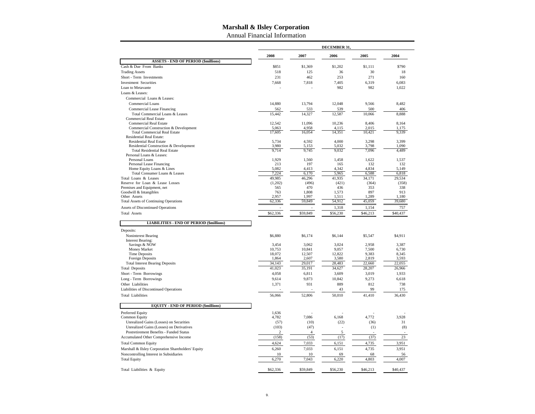Annual Financial Information

|                                                                                |                 |                 | <b>DECEMBER 31</b>       |                |                |
|--------------------------------------------------------------------------------|-----------------|-----------------|--------------------------|----------------|----------------|
|                                                                                | 2008            | 2007            | 2006                     | 2005           | 2004           |
| <b>ASSETS - END OF PERIOD (\$millions)</b>                                     |                 |                 |                          |                |                |
| Cash & Due From Banks                                                          | \$851           | \$1,369         | \$1,202                  | \$1.111        | \$790          |
| <b>Trading Assets</b>                                                          | 518             | 125             | 36                       | 30             | 18             |
| Short - Term Investments                                                       | 231             | 462             | 253                      | 271            | 160            |
| <b>Investment Securities</b>                                                   | 7,668           | 7,818           | 7,405                    | 6,319          | 6,083          |
| Loan to Metavante                                                              |                 |                 | 982                      | 982            | 1,022          |
| Loans & Leases:                                                                |                 |                 |                          |                |                |
| Commercial Loans & Leases:                                                     |                 |                 |                          |                |                |
| Commercial Loans                                                               | 14,880          | 13,794          | 12,048                   | 9,566          | 8,482          |
| Commercial Lease Financing                                                     | 562             | 533             | 539                      | 500            | 406            |
| Total Commercial Loans & Leases<br><b>Commercial Real Estate</b>               | 15,442          | 14,327          | 12,587                   | 10,066         | 8,888          |
| <b>Commercial Real Estate</b>                                                  | 12,542          | 11,096          | 10,236                   | 8,406          | 8,164          |
| Commercial Construction & Development                                          | 5,063           | 4.958           | 4.115                    | 2.015          | 1,175          |
| <b>Total Commercial Real Estate</b>                                            | 17,605          | 16,054          | 14,351                   | 10,421         | 9,339          |
| <b>Residential Real Estate:</b>                                                |                 |                 |                          |                |                |
| <b>Residential Real Estate</b>                                                 | 5.734           | 4.592           | 4.000                    | 3.298          | 3.399          |
| Residential Construction & Development<br><b>Total Residential Real Estate</b> | 3,980<br>9,714  | 5,153<br>9,745  | 5,032<br>9,032           | 3,798<br>7,096 | 1,090<br>4,489 |
| Personal Loans & Leases:                                                       |                 |                 |                          |                |                |
| Personal Loans                                                                 | 1,929           | 1,560           | 1,458                    | 1,622          | 1,537          |
| Personal Lease Financing                                                       | 213             | 197             | 165                      | 132            | 132            |
| Home Equity Loans & Lines                                                      | 5,082           | 4,413           | 4,342                    | 4,834          | 5,149          |
| Total Consumer Loans & Leases                                                  | 7,224           | 6,170           | 5,965                    | 6,588          | 6,818          |
| Total Loans & Leases                                                           | 49,985          | 46,296          | 41,935                   | 34,171         | 29,534         |
| Reserve for Loan & Lease Losses<br>Premises and Equipment, net                 | (1,202)<br>565  | (496)<br>470    | (421)<br>436             | (364)<br>353   | (358)<br>338   |
| Goodwill & Intangibles                                                         | 763             | 1,808           | 1,573                    | 897            | 913            |
| Other Assets                                                                   | 2.957           | 1,997           | 1,511                    | 1,289          | 1,180          |
| <b>Total Assets of Continuing Operations</b>                                   | 62,336          | 59,849          | 54,912                   | 45,059         | 39,680         |
| Assets of Discontinued Operations                                              |                 |                 | 1,318                    | 1,154          | 757            |
| Total Assets                                                                   | \$62,336        | \$59,849        | \$56,230                 | \$46,213       | \$40,437       |
|                                                                                |                 |                 |                          |                |                |
| <b>LIABILITIES - END OF PERIOD (\$millions)</b>                                |                 |                 |                          |                |                |
| Deposits:                                                                      |                 |                 |                          |                |                |
| Noninterest Bearing                                                            | \$6,880         | \$6,174         | \$6,144                  | \$5,547        | \$4,911        |
| <b>Interest Bearing:</b>                                                       |                 |                 |                          |                |                |
| Savings & NOW<br>Money Market                                                  | 3.454<br>10,753 | 3.062<br>10,841 | 3.024<br>9,057           | 2,958<br>7,500 | 3.387<br>6,730 |
| <b>Time Deposits</b>                                                           | 18,072          | 12,507          | 12,822                   | 9,383          | 8,345          |
| <b>Foreign Deposits</b>                                                        | 1,864           | 2,607           | 3,580                    | 2,819          | 3,593          |
| <b>Total Interest Bearing Deposits</b>                                         | 34,143          | 29,017          | 28,483                   | 22,660         | 22,055         |
| <b>Total Deposits</b>                                                          | 41,023          | 35,191          | 34,627                   | 28,207         | 26,966         |
| Short - Term Borrowings                                                        | 4,058           | 6,811           | 3,609                    | 3,019          | 1,933          |
| Long - Term Borrowings                                                         | 9,614           | 9,873           | 10,842                   | 9,273          | 6,618          |
| Other Liabilities                                                              | 1,371           | 931             | 889                      | 812            | 738            |
| Liabilities of Discontinued Operations                                         |                 |                 | 43                       | 99             | 175            |
| <b>Total Liabilities</b>                                                       | 56,066          | 52,806          | 50,010                   | 41,410         | 36,430         |
| <b>EQUITY - END OF PERIOD (\$millions)</b>                                     |                 |                 |                          |                |                |
|                                                                                |                 |                 |                          |                |                |
| Preferred Equity                                                               | 1,636<br>4,782  | 7,086           | 6,168                    | 4,772          | 3.928          |
| Common Equity<br>Unrealized Gains (Losses) on Securities                       | (57)            | (10)            | (22)                     | (36)           | 31             |
| Unrealized Gains (Losses) on Derivatives                                       | (103)           | (47)            | $\overline{\phantom{a}}$ | (1)            | (8)            |
| Postretirement Benefits - Funded Status                                        | $\overline{c}$  | $\overline{4}$  | 5                        |                |                |
| Accumulated Other Comprehensive Income                                         | (158)           | (53)            | (17)                     | (37)           | 23             |
| <b>Total Common Equity</b>                                                     | 4,624           | 7,033           | 6,151                    | 4,735          | 3,951          |
|                                                                                |                 |                 |                          |                |                |
| Marshall & Ilsley Corporation Shareholders' Equity                             | 6,260           | 7,033           | 6,151                    | 4,735          | 3,951          |
| Noncontrolling Interest in Subsidiaries                                        | 10<br>6,270     | 10<br>7,043     | 69<br>6,220              | 68<br>4,803    | 56             |
| <b>Total Equity</b>                                                            |                 |                 |                          |                | 4,007          |
| Total Liabilities & Equity                                                     | \$62,336        | \$59,849        | \$56,230                 | \$46,213       | \$40,437       |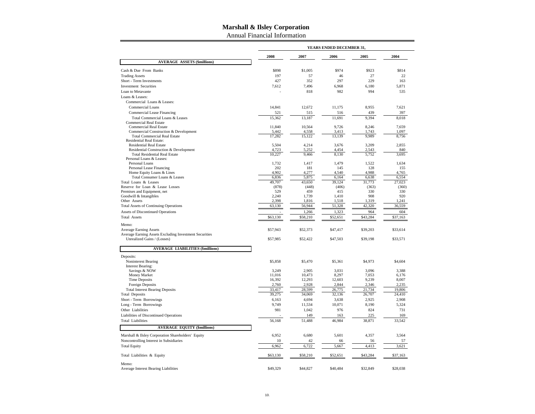Annual Financial Information

|                                                                  |          |          | YEARS ENDED DECEMBER 31, |          |          |
|------------------------------------------------------------------|----------|----------|--------------------------|----------|----------|
|                                                                  | 2008     | 2007     | 2006                     | 2005     | 2004     |
| <b>AVERAGE ASSETS (\$millions)</b>                               |          |          |                          |          |          |
| Cash & Due From Banks                                            | \$898    | \$1,005  | \$974                    | \$923    | \$814    |
| <b>Trading Assets</b>                                            | 197      | 57       | 46                       | 27       | 22       |
| Short - Term Investments                                         | 427      | 352      | 297                      | 229      | 163      |
| <b>Investment Securities</b>                                     | 7,612    | 7,496    | 6,968                    | 6,180    | 5,871    |
| Loan to Metavante                                                |          | 818      | 982                      | 994      | 535      |
| Loans & Leases:                                                  |          |          |                          |          |          |
| Commercial Loans & Leases:                                       |          |          |                          |          |          |
| Commercial Loans                                                 | 14,841   | 12,672   | 11,175                   | 8,955    | 7,621    |
| Commercial Lease Financing                                       | 521      | 515      | 516                      | 439      | 397      |
| Total Commercial Loans & Leases<br><b>Commercial Real Estate</b> | 15,362   | 13,187   | 11,691                   | 9,394    | 8,018    |
| <b>Commercial Real Estate</b>                                    | 11.840   | 10.564   | 9.726                    | 8,246    | 7.659    |
| Commercial Construction & Development                            | 5.442    | 4,558    | 3.413                    | 1.743    | 1.097    |
| <b>Total Commercial Real Estate</b>                              | 17,282   | 15,122   | 13,139                   | 9,989    | 8,756    |
| Residential Real Estate:                                         |          |          |                          |          |          |
| <b>Residential Real Estate</b>                                   | 5,504    | 4,214    | 3,676                    | 3,209    | 2,855    |
| Residential Construction & Development                           | 4,723    | 5,252    | 4,454                    | 2,543    | 840      |
| <b>Total Residential Real Estate</b><br>Personal Loans & Leases: | 10,227   | 9,466    | 8,130                    | 5,752    | 3,695    |
| Personal Loans                                                   | 1,732    | 1,417    | 1,479                    | 1,522    | 1.634    |
| Personal Lease Financing                                         | 202      | 181      | 145                      | 128      | 155      |
| Home Equity Loans & Lines                                        | 4,902    | 4,277    | 4,540                    | 4,988    | 4,765    |
| Total Consumer Loans & Leases                                    | 6,836    | 5,875    | 6,164                    | 6,638    | 6,554    |
| Total Loans & Leases                                             | 49,707   | 43,650   | 39,124                   | 31,773   | 27,023   |
| Reserve for Loan & Lease Losses                                  | (878)    | (448)    | (406)                    | (363)    | (360)    |
| Premises and Equipment, net                                      | 529      | 459      | 415                      | 330      | 330      |
| Goodwill & Intangibles                                           | 2,240    | 1,739    | 1,410                    | 908      | 920      |
| Other Assets                                                     | 2,398    | 1,816    | 1,518                    | 1,319    | 1,241    |
| <b>Total Assets of Continuing Operations</b>                     | 63,130   | 56,944   | 51,328                   | 42,320   | 36,559   |
| <b>Assets of Discontinued Operations</b>                         |          | 1,266    | 1,323                    | 964      | 604      |
| <b>Total Assets</b>                                              | \$63,130 | \$58,210 | \$52,651                 | \$43,284 | \$37,163 |
| Memo:                                                            |          |          |                          |          |          |
| <b>Average Earning Assets</b>                                    | \$57,943 | \$52,373 | \$47,417                 | \$39,203 | \$33,614 |
| Average Earning Assets Excluding Investment Securities           |          |          |                          |          |          |
| Unrealized Gains / (Losses)                                      | \$57,985 | \$52,422 | \$47,503                 | \$39,198 | \$33,571 |
| <b>AVERAGE LIABILITIES (\$millions)</b>                          |          |          |                          |          |          |
| Deposits:                                                        |          |          |                          |          |          |
| Noninterest Bearing                                              | \$5,858  | \$5,470  | \$5,361                  | \$4,973  | \$4,604  |
| <b>Interest Bearing:</b>                                         |          |          |                          |          |          |
| Savings & NOW                                                    | 3,249    | 2,905    | 3,031                    | 3,096    | 3,388    |
| Money Market                                                     | 11,016   | 10,473   | 8,297                    | 7,053    | 6,176    |
| <b>Time Deposits</b>                                             | 16,392   | 12,293   | 12,603                   | 9,239    | 8,007    |
| <b>Foreign Deposits</b>                                          | 2,760    | 2,928    | 2,844                    | 2,346    | 2,235    |
| <b>Total Interest Bearing Deposits</b>                           | 33,417   | 28,599   | 26,775                   | 21,734   | 19,806   |
| <b>Total Deposits</b>                                            | 39,275   | 34,069   | 32,136                   | 26,707   | 24,410   |
| Short - Term Borrowings                                          | 6,163    | 4,694    | 3,638                    | 2,925    | 2,908    |
| Long - Term Borrowings                                           | 9,749    | 11,534   | 10,071                   | 8,190    | 5,324    |
| Other Liabilities                                                | 981      | 1,042    | 976                      | 824      | 731      |
| Liabilities of Discontinued Operations                           |          | 149      | 163                      | 225      | 169      |
| <b>Total Liabilities</b>                                         | 56,168   | 51,488   | 46,984                   | 38,871   | 33,542   |
| <b>AVERAGE EQUITY (\$millions)</b>                               |          |          |                          |          |          |
| Marshall & Ilsley Corporation Shareholders' Equity               | 6,952    | 6,680    | 5,601                    | 4,357    | 3,564    |
| Noncontrolling Interest in Subsidiaries                          | 10       | 42       | 66                       | 56       | 57       |
| <b>Total Equity</b>                                              | 6,962    | 6,722    | 5,667                    | 4,413    | 3,621    |
|                                                                  |          |          |                          |          |          |
| Total Liabilities & Equity                                       | \$63,130 | \$58,210 | \$52,651                 | \$43,284 | \$37,163 |
| Memo:                                                            |          |          |                          |          |          |
| Average Interest Bearing Liabilities                             | \$49,329 | \$44,827 | \$40,484                 | \$32,849 | \$28,038 |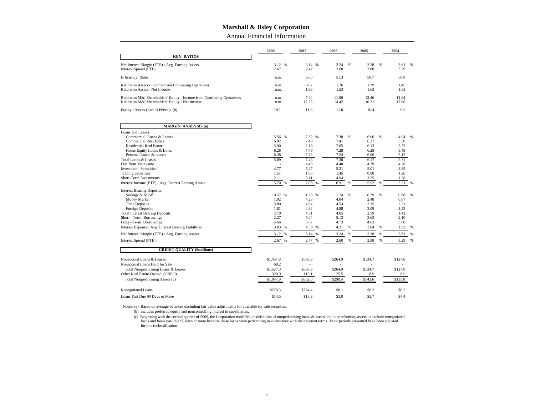Annual Financial Information

|                                                                                                                                                                                                                                                                                                                                                                                                                                                                                                        | 2008                                                                                                                          | 2007                                                                                                                                  | 2006                                                                                                                         |                | 2005                                                                                                                         |             | 2004                                                                                                                         |             |
|--------------------------------------------------------------------------------------------------------------------------------------------------------------------------------------------------------------------------------------------------------------------------------------------------------------------------------------------------------------------------------------------------------------------------------------------------------------------------------------------------------|-------------------------------------------------------------------------------------------------------------------------------|---------------------------------------------------------------------------------------------------------------------------------------|------------------------------------------------------------------------------------------------------------------------------|----------------|------------------------------------------------------------------------------------------------------------------------------|-------------|------------------------------------------------------------------------------------------------------------------------------|-------------|
| <b>KEY RATIOS</b>                                                                                                                                                                                                                                                                                                                                                                                                                                                                                      |                                                                                                                               |                                                                                                                                       |                                                                                                                              |                |                                                                                                                              |             |                                                                                                                              |             |
| Net Interest Margin (FTE) / Avg. Earning Assets<br>Interest Spread (FTE)                                                                                                                                                                                                                                                                                                                                                                                                                               | 3.12 %<br>2.67                                                                                                                | 3.14 %<br>2.47                                                                                                                        | 3.24<br>2.60                                                                                                                 | %              | 3.38<br>2.88                                                                                                                 | %           | 3.61<br>3.29                                                                                                                 | %           |
| Efficiency Ratio                                                                                                                                                                                                                                                                                                                                                                                                                                                                                       | n.m.                                                                                                                          | 56.0                                                                                                                                  | 51.3                                                                                                                         |                | 50.7                                                                                                                         |             | 50.8                                                                                                                         |             |
| Return on Assets - Income from Continuing Operations<br>Return on Assets - Net Income                                                                                                                                                                                                                                                                                                                                                                                                                  | n.m.<br>n.m.                                                                                                                  | 0.87<br>1.98                                                                                                                          | 1.26<br>1.53                                                                                                                 |                | 1.39<br>1.63                                                                                                                 |             | 1.45<br>1.63                                                                                                                 |             |
| Return on M&I Shareholders' Equity - Income from Continuing Operations<br>Return on M&I Shareholders' Equity - Net Income                                                                                                                                                                                                                                                                                                                                                                              | n.m.<br>n.m.                                                                                                                  | 7.44<br>17.23                                                                                                                         | 11.56<br>14.42                                                                                                               |                | 13.46<br>16.21                                                                                                               |             | 14.84<br>17.00                                                                                                               |             |
| Equity / Assets (End of Period) (b)                                                                                                                                                                                                                                                                                                                                                                                                                                                                    | 10.1                                                                                                                          | 11.8                                                                                                                                  | 11.0                                                                                                                         |                | 10.4                                                                                                                         |             | 9.9                                                                                                                          |             |
| <b>MARGIN ANALYSIS (a)</b>                                                                                                                                                                                                                                                                                                                                                                                                                                                                             |                                                                                                                               |                                                                                                                                       |                                                                                                                              |                |                                                                                                                              |             |                                                                                                                              |             |
| Loans and Leases:                                                                                                                                                                                                                                                                                                                                                                                                                                                                                      |                                                                                                                               |                                                                                                                                       |                                                                                                                              |                |                                                                                                                              |             |                                                                                                                              |             |
| Commercial Loans & Leases<br>Commercial Real Estate<br><b>Residential Real Estate</b><br>Home Equity Loans & Lines<br>Personal Loans & Leases<br>Total Loans & Leases<br>Due from Metavante<br><b>Investment Securities</b><br><b>Trading Securities</b><br>Short-Term Investments<br>Interest Income (FTE) / Avg. Interest Earning Assets<br><b>Interest Bearing Deposits:</b><br>Savings & NOW<br>Money Market<br><b>Time Deposits</b><br>Foreign Deposits<br><b>Total Interest Bearing Deposits</b> | 5.56 %<br>6.02<br>5.90<br>6.28<br>6.38<br>5.89<br>4.77<br>1.51<br>2.11<br>5.70<br>%<br>0.57 %<br>1.92<br>3.80<br>1.81<br>2.70 | 7.52 %<br>7.49<br>7.16<br>7.48<br>7.73<br>7.43<br>4.40<br>5.27<br>1.95<br>5.11<br>7.05<br>%<br>1.28 %<br>4.23<br>4.94<br>4.92<br>4.31 | 7.38<br>7.41<br>7.05<br>7.28<br>7.24<br>7.30<br>4.40<br>5.21<br>1.45<br>4.94<br>6.91<br>1.24<br>4.04<br>4.54<br>4.88<br>4.05 | %<br>$\%$<br>% | 6.06<br>6.27<br>6.13<br>6.28<br>6.06<br>6.17<br>4.39<br>5.01<br>0.90<br>3.25<br>5.92<br>0.79<br>2.48<br>3.15<br>3.09<br>2.59 | %<br>%<br>% | 4.94<br>5.50<br>5.53<br>5.49<br>5.17<br>5.31<br>4.28<br>4.95<br>1.26<br>1.28<br>5.21<br>0.68<br>0.87<br>2.21<br>1.22<br>1.42 | %<br>%<br>% |
| Short - Term Borrowings                                                                                                                                                                                                                                                                                                                                                                                                                                                                                | 2.27                                                                                                                          | 5.04                                                                                                                                  | 5.13                                                                                                                         |                | 3.63                                                                                                                         |             | 2.10                                                                                                                         |             |
| Long - Term Borrowings                                                                                                                                                                                                                                                                                                                                                                                                                                                                                 | 4.66                                                                                                                          | 5.07                                                                                                                                  | 4.73                                                                                                                         |                | 4.03                                                                                                                         |             | 3.68                                                                                                                         |             |
| Interest Expense / Avg. Interest Bearing Liabilities                                                                                                                                                                                                                                                                                                                                                                                                                                                   | 3.03<br>%                                                                                                                     | 4.58 %                                                                                                                                | 4.31                                                                                                                         | $\%$           | 3.04                                                                                                                         | %           | 1.92                                                                                                                         | %           |
| Net Interest Margin (FTE) / Avg. Earning Assets                                                                                                                                                                                                                                                                                                                                                                                                                                                        | 3.12<br>%                                                                                                                     | 3.14<br>%                                                                                                                             | 3.24                                                                                                                         | %              | 3.38                                                                                                                         | %           | 3.61                                                                                                                         | %           |
| Interest Spread (FTE)                                                                                                                                                                                                                                                                                                                                                                                                                                                                                  | 2.67<br>%                                                                                                                     | 2.47 %                                                                                                                                | 2.60                                                                                                                         | $\%$           | 2.88                                                                                                                         | %           | 3.29                                                                                                                         | %           |
| <b>CREDIT QUALITY (\$millions)</b>                                                                                                                                                                                                                                                                                                                                                                                                                                                                     |                                                                                                                               |                                                                                                                                       |                                                                                                                              |                |                                                                                                                              |             |                                                                                                                              |             |
| Nonaccrual Loans & Leases<br>Nonaccrual Loans Held for Sale<br>Total Nonperforming Loans & Leases<br>Other Real Estate Owned (OREO)                                                                                                                                                                                                                                                                                                                                                                    | \$1,457.8<br>69.2<br>\$1,527.0<br>320.9<br>\$1,847.9                                                                          | \$686.9<br>\$686.9<br>115.1<br>\$802.0                                                                                                | \$264.9<br>\$264.9<br>25.5<br>\$290.4                                                                                        |                | \$134.7<br>\$134.7<br>8.9<br>\$143.6                                                                                         |             | \$127.8<br>\$127.8<br>8.0<br>\$135.8                                                                                         |             |
| Total Nonperforming Assets (c)                                                                                                                                                                                                                                                                                                                                                                                                                                                                         |                                                                                                                               |                                                                                                                                       |                                                                                                                              |                |                                                                                                                              |             |                                                                                                                              |             |
| <b>Renegotiated Loans</b>                                                                                                                                                                                                                                                                                                                                                                                                                                                                              | \$270.3                                                                                                                       | \$224.4                                                                                                                               | \$0.1                                                                                                                        |                | \$0.2                                                                                                                        |             | \$0.2                                                                                                                        |             |
| Loans Past Due 90 Days or More                                                                                                                                                                                                                                                                                                                                                                                                                                                                         | \$14.5                                                                                                                        | \$13.9                                                                                                                                | \$3.0                                                                                                                        |                | \$5.7                                                                                                                        |             | \$4.4                                                                                                                        |             |

Notes: (a) Based on average balances excluding fair value adjustments for available for sale securities. (b) Includes preferred equity and noncontrolling interest in subsidiaries.

c) Beginning with the second quarter of 2009, the Corporation modified its definition of nonperforming loans & leases and nonperforming assets to exclude renegotiated)<br>loans and loans past due 90 days or more because these for this reclassification.